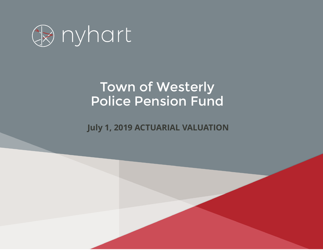

# Town of Westerly Police Pension Fund

*Employees' Retirement Plan* **July 1, 2019 ACTUARIAL VALUATION**

*January 1, 2017*

*Actuarial Valuation Report*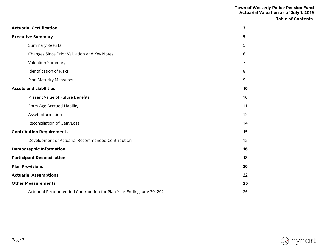|                                                                       | <b>Table of Contents</b> |  |
|-----------------------------------------------------------------------|--------------------------|--|
| <b>Actuarial Certification</b>                                        | 3                        |  |
| <b>Executive Summary</b>                                              | 5                        |  |
| <b>Summary Results</b>                                                | 5                        |  |
| Changes Since Prior Valuation and Key Notes                           | 6                        |  |
| Valuation Summary                                                     | $\overline{7}$           |  |
| Identification of Risks                                               | 8                        |  |
| Plan Maturity Measures                                                | 9                        |  |
| <b>Assets and Liabilities</b>                                         | 10                       |  |
| Present Value of Future Benefits                                      | 10                       |  |
| <b>Entry Age Accrued Liability</b>                                    | 11                       |  |
| Asset Information                                                     | 12                       |  |
| Reconciliation of Gain/Loss                                           | 14                       |  |
| <b>Contribution Requirements</b>                                      | 15                       |  |
| Development of Actuarial Recommended Contribution                     | 15                       |  |
| <b>Demographic Information</b>                                        | 16                       |  |
| <b>Participant Reconciliation</b>                                     | 18                       |  |
| <b>Plan Provisions</b>                                                | 20                       |  |
| <b>Actuarial Assumptions</b>                                          | 22                       |  |
| <b>Other Measurements</b>                                             | 25                       |  |
| Actuarial Recommended Contribution for Plan Year Ending June 30, 2021 | 26                       |  |

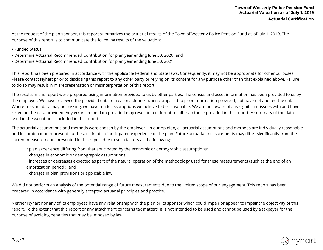At the request of the plan sponsor, this report summarizes the actuarial results of the Town of Westerly Police Pension Fund as of July 1, 2019. The purpose of this report is to communicate the following results of the valuation:

- Funded Status;
- Determine Actuarial Recommended Contribution for plan year ending June 30, 2020; and
- Determine Actuarial Recommended Contribution for plan year ending June 30, 2021.

This report has been prepared in accordance with the applicable Federal and State laws. Consequently, it may not be appropriate for other purposes. Please contact Nyhart prior to disclosing this report to any other party or relying on its content for any purpose other than that explained above. Failure to do so may result in misrepresentation or misinterpretation of this report.

The results in this report were prepared using information provided to us by other parties. The census and asset information has been provided to us by the employer. We have reviewed the provided data for reasonableness when compared to prior information provided, but have not audited the data. Where relevant data may be missing, we have made assumptions we believe to be reasonable. We are not aware of any significant issues with and have relied on the data provided. Any errors in the data provided may result in a different result than those provided in this report. A summary of the data used in the valuation is included in this report.

The actuarial assumptions and methods were chosen by the employer. In our opinion, all actuarial assumptions and methods are individually reasonable and in combination represent our best estimate of anticipated experience of the plan. Future actuarial measurements may differ significantly from the current measurements presented in this report due to such factors as the following:

- plan experience differing from that anticipated by the economic or demographic assumptions;
- changes in economic or demographic assumptions;
- increases or decreases expected as part of the natural operation of the methodology used for these measurements (such as the end of an amortization period); and

• changes in plan provisions or applicable law.

We did not perform an analysis of the potential range of future measurements due to the limited scope of our engagement. This report has been prepared in accordance with generally accepted actuarial principles and practice.

Neither Nyhart nor any of its employees have any relationship with the plan or its sponsor which could impair or appear to impair the objectivity of this report. To the extent that this report or any attachment concerns tax matters, it is not intended to be used and cannot be used by a taxpayer for the purpose of avoiding penalties that may be imposed by law.

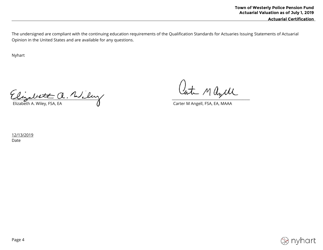The undersigned are compliant with the continuing education requirements of the Qualification Standards for Actuaries Issuing Statements of Actuarial Opinion in the United States and are available for any questions.

Nyhart

 $\mu_{\rm{z}}$ Elizabeth A. Wiley, FSA, EA Carter M Angell, FSA, EA, MAAA

12/13/2019 Date

nyhart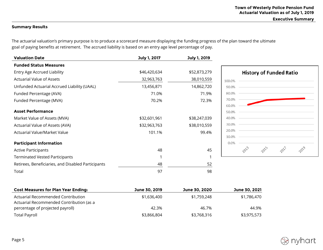**Executive Summary** 

## **Summary Results**

The actuarial valuation's primary purpose is to produce a scorecard measure displaying the funding progress of the plan toward the ultimate goal of paying benefits at retirement. The accrued liability is based on an entry age level percentage of pay.

| <b>Valuation Date</b>                              | July 1, 2017 | July 1, 2019 |                                |
|----------------------------------------------------|--------------|--------------|--------------------------------|
| <b>Funded Status Measures</b>                      |              |              |                                |
| Entry Age Accrued Liability                        | \$46,420,634 | \$52,873,279 | <b>History of Funded Ratio</b> |
| <b>Actuarial Value of Assets</b>                   | 32,963,763   | 38,010,559   | 100.0%                         |
| Unfunded Actuarial Accrued Liability (UAAL)        | 13,456,871   | 14,862,720   | 90.0%                          |
| Funded Percentage (AVA)                            | 71.0%        | 71.9%        | 80.0%                          |
| Funded Percentage (MVA)                            | 70.2%        | 72.3%        | 70.0%                          |
|                                                    |              |              | 60.0%                          |
| <b>Asset Performance</b>                           |              |              | 50.0%                          |
| Market Value of Assets (MVA)                       | \$32,601,961 | \$38,247,039 | 40.0%                          |
| Actuarial Value of Assets (AVA)                    | \$32,963,763 | \$38,010,559 | 30.0%                          |
| Actuarial Value/Market Value                       | 101.1%       | 99.4%        | 20.0%                          |
|                                                    |              |              | 10.0%                          |
| <b>Participant Information</b>                     |              |              | 0.0%                           |
| <b>Active Participants</b>                         | 48           | 45           | 2015<br>2027<br>2013<br>2019   |
| <b>Terminated Vested Participants</b>              |              |              |                                |
| Retirees, Beneficiaries, and Disabled Participants | 48           | 52           |                                |
| Total                                              | 97           | 98           |                                |
|                                                    |              |              |                                |

| <b>Cost Measures for Plan Year Ending:</b> | June 30, 2019 | June 30, 2020 | June 30, 2021 |
|--------------------------------------------|---------------|---------------|---------------|
| Actuarial Recommended Contribution         | \$1,636,400   | \$1,759,248   | \$1,786,470   |
| Actuarial Recommended Contribution (as a   |               |               |               |
| percentage of projected payroll)           | 42.3%         | 46.7%         | 44.9%         |
| <b>Total Payroll</b>                       | \$3,866,804   | \$3,768,316   | \$3,975,573   |

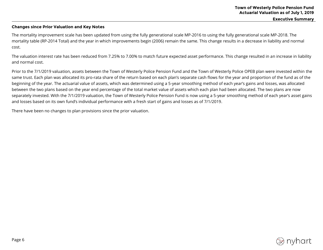#### **Changes since Prior Valuation and Key Notes**

The mortality improvement scale has been updated from using the fully generational scale MP-2016 to using the fully generational scale MP-2018. The mortality table (RP-2014 Total) and the year in which improvements begin (2006) remain the same. This change results in a decrease in liability and normal cost.

The valuation interest rate has been reduced from 7.25% to 7.00% to match future expected asset performance. This change resulted in an increase in liability and normal cost.

Prior to the 7/1/2019 valuation, assets between the Town of Westerly Police Pension Fund and the Town of Westerly Police OPEB plan were invested within the same trust. Each plan was allocated its pro-rata share of the return based on each plan's separate cash flows for the year and proportion of the fund as of the beginning of the year. The actuarial value of assets, which was determined using a 5-year smoothing method of each year's gains and losses, was allocated between the two plans based on the year end percentage of the total market value of assets which each plan had been allocated. The two plans are now separately invested. With the 7/1/2019 valuation, the Town of Westerly Police Pension Fund is now using a 5-year smoothing method of each year's asset gains and losses based on its own fund's individual performance with a fresh start of gains and losses as of 7/1/2019.

There have been no changes to plan provisions since the prior valuation.

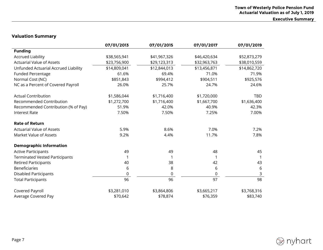**Executive Summary** 

## **Valuation Summary**

|                                       | 07/01/2013   | 07/01/2015   | 07/01/2017   | 07/01/2019   |
|---------------------------------------|--------------|--------------|--------------|--------------|
| <b>Funding</b>                        |              |              |              |              |
| <b>Accrued Liability</b>              | \$38,565,941 | \$41,967,326 | \$46,420,634 | \$52,873,279 |
| <b>Actuarial Value of Assets</b>      | \$23,756,900 | \$29,123,313 | \$32,963,763 | \$38,010,559 |
| Unfunded Actuarial Accrued Liability  | \$14,809,041 | \$12,844,013 | \$13,456,871 | \$14,862,720 |
| <b>Funded Percentage</b>              | 61.6%        | 69.4%        | 71.0%        | 71.9%        |
| Normal Cost (NC)                      | \$851,843    | \$994,412    | \$904,511    | \$925,576    |
| NC as a Percent of Covered Payroll    | 26.0%        | 25.7%        | 24.7%        | 24.6%        |
| <b>Actual Contribution</b>            | \$1,586,044  | \$1,716,400  | \$1,720,000  | <b>TBD</b>   |
| Recommended Contribution              | \$1,272,700  | \$1,716,400  | \$1,667,700  | \$1,636,400  |
| Recommended Contribution (% of Pay)   | 51.9%        | 42.0%        | 40.9%        | 42.3%        |
| <b>Interest Rate</b>                  | 7.50%        | 7.50%        | 7.25%        | 7.00%        |
| <b>Rate of Return</b>                 |              |              |              |              |
| <b>Actuarial Value of Assets</b>      | 5.9%         | 8.6%         | 7.0%         | 7.2%         |
| Market Value of Assets                | 9.2%         | 4.4%         | 11.7%        | 7.8%         |
| <b>Demographic Information</b>        |              |              |              |              |
| <b>Active Participants</b>            | 49           | 49           | 48           | 45           |
| <b>Terminated Vested Participants</b> |              |              |              |              |
| <b>Retired Participants</b>           | 40           | 38           | 42           | 43           |
| <b>Beneficiaries</b>                  | 6            | 8            | 6            | 6            |
| <b>Disabled Participants</b>          | 0            | 0            | 0            | 3            |
| <b>Total Participants</b>             | 96           | 96           | 97           | 98           |
| Covered Payroll                       | \$3,281,010  | \$3,864,806  | \$3,665,217  | \$3,768,316  |
| Average Covered Pay                   | \$70,642     | \$78,874     | \$76,359     | \$83,740     |

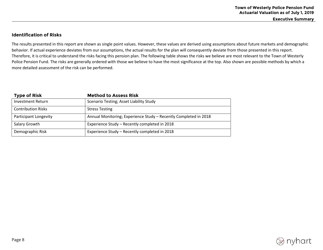**Executive Summary** 

## **Identification of Risks**

The results presented in this report are shown as single point values. However, these values are derived using assumptions about future markets and demographic behavior. If actual experience deviates from our assumptions, the actual results for the plan will consequently deviate from those presented in this report. Therefore, it is critical to understand the risks facing this pension plan. The following table shows the risks we believe are most relevant to the Town of Westerly Police Pension Fund. The risks are generally ordered with those we believe to have the most significance at the top. Also shown are possible methods by which a more detailed assessment of the risk can be performed.

| <b>Type of Risk</b>       | <b>Method to Assess Risk</b>                                     |
|---------------------------|------------------------------------------------------------------|
| <b>Investment Return</b>  | Scenario Testing; Asset Liability Study                          |
| <b>Contribution Risks</b> | <b>Stress Testing</b>                                            |
| Participant Longevity     | Annual Monitoring; Experience Study - Recently Completed in 2018 |
| Salary Growth             | Experience Study - Recently completed in 2018                    |
| Demographic Risk          | Experience Study - Recently completed in 2018                    |

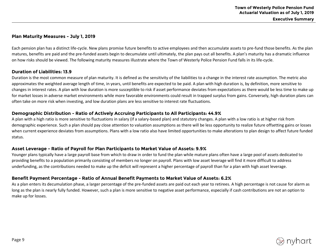### **Plan Maturity Measures - July 1, 2019**

Each pension plan has a distinct life-cycle. New plans promise future benefits to active employees and then accumulate assets to pre-fund those benefits. As the plan matures, benefits are paid and the pre-funded assets begin to decumulate until ultimately, the plan pays out all benefits. A plan's maturity has a dramatic influence on how risks should be viewed. The following maturity measures illustrate where the Town of Westerly Police Pension Fund falls in its life-cycle.

## **Duration of Liabilities: 13.9**

Duration is the most common measure of plan maturity. It is defined as the sensitivity of the liabilities to a change in the interest rate assumption. The metric also approximates the weighted average length of time, in years, until benefits are expected to be paid. A plan with high duration is, by definition, more sensitive to changes in interest rates. A plan with low duration is more susceptible to risk if asset performance deviates from expectations as there would be less time to make up for market losses in adverse market environments while more favorable environments could result in trapped surplus from gains. Conversely, high duration plans can often take on more risk when investing, and low duration plans are less sensitive to interest rate fluctuations.

## **Demographic Distribution - Ratio of Actively Accruing Participants to All Participants: 44.9%**

A plan with a high ratio is more sensitive to fluctuations in salary (if a salary-based plan) and statutory changes. A plan with a low ratio is at higher risk from demographic experience. Such a plan should pay close attention to valuation assumptions as there will be less opportunity to realize future offsetting gains or losses when current experience deviates from assumptions. Plans with a low ratio also have limited opportunities to make alterations to plan design to affect future funded status.

## **Asset Leverage - Ratio of Payroll for Plan Participants to Market Value of Assets: 9.9%**

Younger plans typically have a large payroll base from which to draw in order to fund the plan while mature plans often have a large pool of assets dedicated to providing benefits to a population primarily consisting of members no longer on payroll. Plans with low asset leverage will find it more difficult to address underfunding, as the contributions needed to make up the deficit will represent a higher percentage of payroll than for a plan with high asset leverage.

## **Benefit Payment Percentage - Ratio of Annual Benefit Payments to Market Value of Assets: 6.2%**

As a plan enters its decumulation phase, a larger percentage of the pre-funded assets are paid out each year to retirees. A high percentage is not cause for alarm as long as the plan is nearly fully funded. However, such a plan is more sensitive to negative asset performance, especially if cash contributions are not an option to make up for losses.

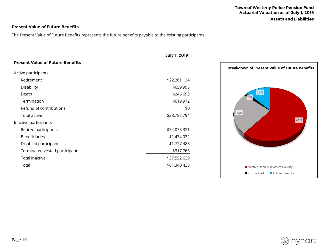**Assets and Liabilities**

## **Present Value of Future Benefits**

The Present Value of Future Benefits represents the future benefits payable to the existing participants.

|                                         | July 1, 2019 |                                                                   |
|-----------------------------------------|--------------|-------------------------------------------------------------------|
| <b>Present Value of Future Benefits</b> |              |                                                                   |
| Active participants                     |              | <b>Breakdown of Present Value of Future Benefits</b>              |
| Retirement                              | \$22,261,134 |                                                                   |
| Disability                              | \$659,995    |                                                                   |
| Death                                   | \$246,693    | 12%                                                               |
| Termination                             | \$619,972    | 2%                                                                |
| Refund of contributions                 | \$0          |                                                                   |
| Total active                            | \$23,787,794 | 25%                                                               |
| Inactive participants                   |              | 61%                                                               |
| Retired participants                    | \$34,073,321 |                                                                   |
| <b>Beneficiaries</b>                    | \$1,434,072  |                                                                   |
| Disabled participants                   | \$1,727,483  |                                                                   |
| Terminated vested participants          | \$317,763    |                                                                   |
| Total inactive                          | \$37,552,639 |                                                                   |
| Total                                   | \$61,340,433 | $\blacksquare$ Inactive Liability $\blacksquare$ Active Liability |
|                                         |              | Normal Cost<br>■ Future Benefits                                  |

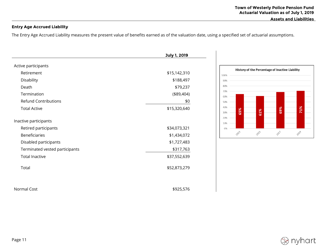## **Entry Age Accrued Liability**

The Entry Age Accrued Liability measures the present value of benefits earned as of the valuation date, using a specified set of actuarial assumptions.

|                                | July 1, 2019 |
|--------------------------------|--------------|
| Active participants            |              |
| Retirement                     | \$15,142,310 |
| Disability                     | \$188,497    |
| Death                          | \$79,237     |
| Termination                    | (\$9,404)    |
| <b>Refund Contributions</b>    | \$0          |
| <b>Total Active</b>            | \$15,320,640 |
| Inactive participants          |              |
| Retired participants           | \$34,073,321 |
| <b>Beneficiaries</b>           | \$1,434,072  |
| Disabled participants          | \$1,727,483  |
| Terminated vested participants | \$317,763    |
| <b>Total Inactive</b>          | \$37,552,639 |
| Total                          | \$52,873,279 |
|                                |              |
| Normal Cost                    | \$925,576    |



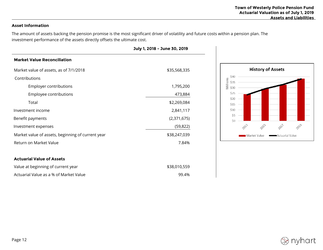## **Asset Information**

The amount of assets backing the pension promise is the most significant driver of volatility and future costs within a pension plan. The investment performance of the assets directly offsets the ultimate cost.

|                                                   | July 1, 2018 - June 30, 2019 |  |
|---------------------------------------------------|------------------------------|--|
| <b>Market Value Reconciliation</b>                |                              |  |
| Market value of assets, as of 7/1/2018            | \$35,568,335                 |  |
| Contributions                                     |                              |  |
| Employer contributions                            | 1,795,200                    |  |
| Employee contributions                            | 473,884                      |  |
| Total                                             | \$2,269,084                  |  |
| Investment income                                 | 2,841,117                    |  |
| Benefit payments                                  | (2,371,675)                  |  |
| Investment expenses                               | (59, 822)                    |  |
| Market value of assets, beginning of current year | \$38,247,039                 |  |
| Return on Market Value                            | 7.84%                        |  |
|                                                   |                              |  |
| <b>Actuarial Value of Assets</b>                  |                              |  |
| Value at beginning of current year                | \$38,010,559                 |  |



| Value at beginning of current year     | \$38,010,559 |
|----------------------------------------|--------------|
| Actuarial Value as a % of Market Value | 99.4%        |

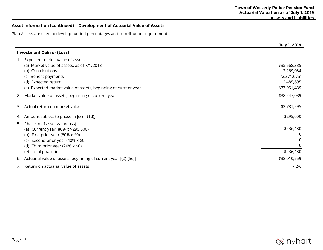## **Asset Information (continued) – Development of Actuarial Value of Assets**

Plan Assets are used to develop funded percentages and contribution requirements.

|    |                                                                                                                                                                                                                        | July 1, 2019                                                          |
|----|------------------------------------------------------------------------------------------------------------------------------------------------------------------------------------------------------------------------|-----------------------------------------------------------------------|
|    | <b>Investment Gain or (Loss)</b>                                                                                                                                                                                       |                                                                       |
| 1. | Expected market value of assets<br>(a) Market value of assets, as of 7/1/2018<br>(b) Contributions<br>(c) Benefit payments<br>(d) Expected return<br>(e) Expected market value of assets, beginning of current year    | \$35,568,335<br>2,269,084<br>(2,371,675)<br>2,485,695<br>\$37,951,439 |
| 2. | Market value of assets, beginning of current year                                                                                                                                                                      | \$38,247,039                                                          |
| 3. | Actual return on market value                                                                                                                                                                                          | \$2,781,295                                                           |
| 4. | Amount subject to phase in [(3) – (1d)]                                                                                                                                                                                | \$295,600                                                             |
| 5. | Phase in of asset gain/(loss)<br>(a) Current year (80% x \$295,600)<br>(b) First prior year (60% $\times$ \$0)<br>Second prior year (40% x \$0)<br>(c)<br>Third prior year (20% $\times$ \$0)<br>(d)<br>Total phase-in | \$236,480<br>\$236,480                                                |
|    | (e)                                                                                                                                                                                                                    |                                                                       |
| 6. | Actuarial value of assets, beginning of current year [(2)-(5e)]                                                                                                                                                        | \$38,010,559                                                          |
|    | Return on actuarial value of assets                                                                                                                                                                                    | 7.2%                                                                  |

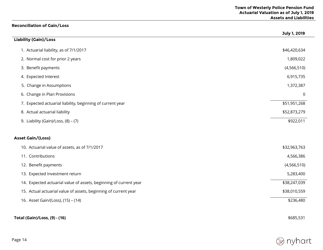## **Reconciliation of Gain/Loss**

|                                                                   | July 1, 2019  |
|-------------------------------------------------------------------|---------------|
| Liability (Gain)/Loss                                             |               |
| 1. Actuarial liability, as of 7/1/2017                            | \$46,420,634  |
| 2. Normal cost for prior 2 years                                  | 1,809,022     |
| 3. Benefit payments                                               | (4, 566, 510) |
| 4. Expected Interest                                              | 6,915,735     |
| 5. Change in Assumptions                                          | 1,372,387     |
| 6. Change in Plan Provisions                                      | $\mathbf 0$   |
| 7. Expected actuarial liability, beginning of current year        | \$51,951,268  |
| 8. Actual actuarial liability                                     | \$52,873,279  |
| 9. Liability (Gain)/Loss, $(8) - (7)$                             | \$922,011     |
| <b>Asset Gain/(Loss)</b>                                          |               |
| 10. Actuarial value of assets, as of 7/1/2017                     | \$32,963,763  |
| 11. Contributions                                                 | 4,566,386     |
| 12. Benefit payments                                              | (4, 566, 510) |
| 13. Expected Investment return                                    | 5,283,400     |
| 14. Expected actuarial value of assets, beginning of current year | \$38,247,039  |
| 15. Actual actuarial value of assets, beginning of current year   | \$38,010,559  |
| 16. Asset Gain/(Loss), (15) - (14)                                | \$236,480     |
| <b>Total (Gain)/Loss, (9) - (16)</b>                              | \$685,531     |

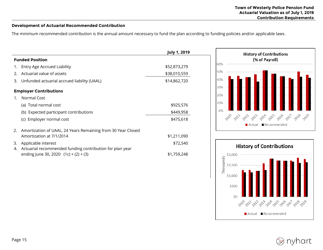#### **Development of Actuarial Recommended Contribution**

The minimum recommended contribution is the annual amount necessary to fund the plan according to funding policies and/or applicable laws.

|    |                                                              | <b>July 1, 2019</b> |
|----|--------------------------------------------------------------|---------------------|
|    | <b>Funded Position</b>                                       |                     |
| 1. | Entry Age Accrued Liability                                  | \$52,873,279        |
| 2. | Actuarial value of assets                                    | \$38,010,559        |
| 3. | Unfunded actuarial accrued liability (UAAL)                  | \$14,862,720        |
|    | <b>Employer Contributions</b>                                |                     |
| 1. | Normal Cost                                                  |                     |
|    | (a) Total normal cost                                        | \$925,576           |
|    | (b) Expected participant contributions                       | \$449,958           |
|    | (c) Employer normal cost                                     | \$475,618           |
| 2. | Amortization of UAAL, 24 Years Remaining from 30 Year Closed |                     |
|    | Amortization at 7/1/2014                                     | \$1,211,090         |
| 3. | Applicable interest                                          | \$72,540            |
| 4. | Actuarial recommended funding contribution for plan year     |                     |
|    | ending June 30, 2020 $(1c) + (2) + (3)$                      | \$1,759,248         |





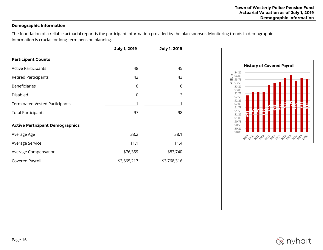## **Demographic Information**

The foundation of a reliable actuarial report is the participant information provided by the plan sponsor. Monitoring trends in demographic information is crucial for long-term pension planning.

|                                        | July 1, 2019 | July 1, 2019 |  |
|----------------------------------------|--------------|--------------|--|
| <b>Participant Counts</b>              |              |              |  |
| <b>Active Participants</b>             | 48           | 45           |  |
| <b>Retired Participants</b>            | 42           | 43           |  |
| <b>Beneficiaries</b>                   | 6            | 6            |  |
| Disabled                               | $\mathbf 0$  | 3            |  |
| <b>Terminated Vested Participants</b>  | 1            | 1            |  |
| <b>Total Participants</b>              | 97           | 98           |  |
| <b>Active Participant Demographics</b> |              |              |  |
| Average Age                            | 38.2         | 38.1         |  |
| Average Service                        | 11.1         | 11.4         |  |
| Average Compensation                   | \$76,359     | \$83,740     |  |
| Covered Payroll                        | \$3,665,217  | \$3,768,316  |  |



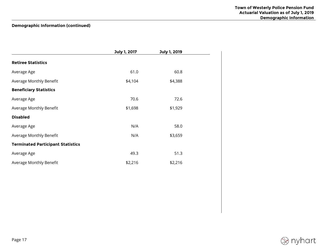## **Demographic Information (continued)**

|                                          | July 1, 2017 | July 1, 2019 |  |
|------------------------------------------|--------------|--------------|--|
| <b>Retiree Statistics</b>                |              |              |  |
| Average Age                              | 61.0         | 60.8         |  |
| Average Monthly Benefit                  | \$4,104      | \$4,388      |  |
| <b>Beneficiary Statistics</b>            |              |              |  |
| Average Age                              | 70.6         | 72.6         |  |
| Average Monthly Benefit                  | \$1,698      | \$1,929      |  |
| <b>Disabled</b>                          |              |              |  |
| Average Age                              | N/A          | 58.0         |  |
| Average Monthly Benefit                  | N/A          | \$3,659      |  |
| <b>Terminated Participant Statistics</b> |              |              |  |
| Average Age                              | 49.3         | 51.3         |  |
| Average Monthly Benefit                  | \$2,216      | \$2,216      |  |

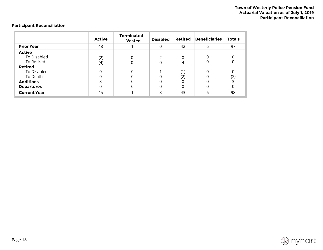## **Participant Reconciliation**

|                                                                  | <b>Active</b> | <b>Terminated</b><br><b>Vested</b> | <b>Disabled</b> | <b>Retired</b>  | <b>Beneficiaries</b> | <b>Totals</b> |
|------------------------------------------------------------------|---------------|------------------------------------|-----------------|-----------------|----------------------|---------------|
| <b>Prior Year</b>                                                | 48            |                                    | 0               | 42              | 6                    | 97            |
| Active<br>To Disabled<br>To Retired<br><b>Retired</b>            | (2)<br>(4)    |                                    | 0               | 0<br>4          | 0                    | 0             |
| To Disabled<br>To Death<br><b>Additions</b><br><b>Departures</b> | O             |                                    |                 | (1)<br>(2)<br>0 |                      | 0<br>(2)      |
| <b>Current Year</b>                                              | 45            |                                    | 3               | 43              | 6                    | 98            |

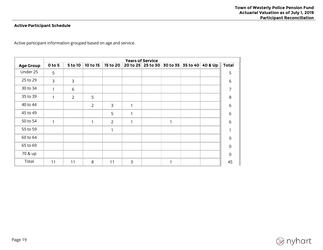## **Active Participant Schedule**

Active participant information grouped based on age and service.

|                  | <b>Years of Service</b> |                |                |              |   |                   |   |                           |              |
|------------------|-------------------------|----------------|----------------|--------------|---|-------------------|---|---------------------------|--------------|
| <b>Age Group</b> | $0$ to 5                | 5 to 10        | 10 to 15       | 15 to 20     |   | 20 to 25 25 to 30 |   | 30 to 35 35 to 40 40 & Up | <b>Total</b> |
| Under 25         | 5                       |                |                |              |   |                   |   |                           | 5            |
| 25 to 29         | $\overline{3}$          | 3              |                |              |   |                   |   |                           | 6            |
| 30 to 34         | 1                       | 6              |                |              |   |                   |   |                           | 7            |
| 35 to 39         | 1                       | $\overline{2}$ | 5              |              |   |                   |   |                           | 8            |
| 40 to 44         |                         |                | $\overline{2}$ | $\mathsf{3}$ | 1 |                   |   |                           | 6            |
| 45 to 49         |                         |                |                | 5            | 1 |                   |   |                           | 6            |
| 50 to 54         | 1                       |                | 1              | 2            | 1 |                   | 1 |                           | 6            |
| 55 to 59         |                         |                |                | 1            |   |                   |   |                           |              |
| 60 to 64         |                         |                |                |              |   |                   |   |                           | $\mathbf 0$  |
| 65 to 69         |                         |                |                |              |   |                   |   |                           | $\mathbf 0$  |
| 70 & up          |                         |                |                |              |   |                   |   |                           | $\mathbf 0$  |
| Total            | 11                      | 11             | 8              | 11           | 3 |                   | 1 |                           | 45           |

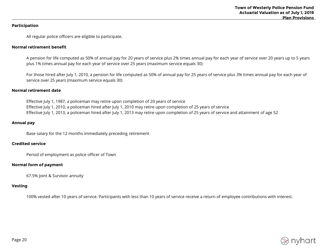#### **Participation**

All regular police officers are eligible to participate.

#### **Normal retirement benefit**

A pension for life computed as 50% of annual pay for 20 years of service plus 2% times annual pay for each year of service over 20 years up to 5 years plus 1% times annual pay for each year of service over 25 years (maximum service equals 30)

For those hired after July 1, 2010, a pension for life computed as 50% of annual pay for 25 years of service plus 3% times annual pay for each year of service over 25 years (maximum service equals 30)

#### **Normal retirement date**

Effective July 1, 1987, a policeman may retire upon completion of 20 years of service Effective July 1, 2010, a policeman hired after July 1, 2010 may retire upon completion of 25 years of service Effective July 1, 2013, a policeman hired after July 1, 2013 may retire upon completion of 25 years of service and attainment of age 52

#### **Annual pay**

Base salary for the 12 months immediately preceding retirement

#### **Credited service**

Period of employment as police officer of Town

#### **Normal form of payment**

67.5% Joint & Survivor annuity

#### **Vesting**

100% vested after 10 years of service. Participants with less than 10 years of service receive a return of employee contributions with interest.

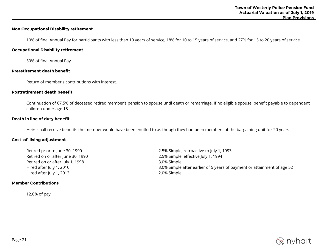#### **Non Occupational Disability retirement**

10% of final Annual Pay for participants with less than 10 years of service, 18% for 10 to 15 years of service, and 27% for 15 to 20 years of service

#### **Occupational Disability retirement**

50% of final Annual Pay

#### **Preretirement death benefit**

Return of member's contributions with interest.

#### **Postretirement death benefit**

Continuation of 67.5% of deceased retired member's pension to spouse until death or remarriage. If no eligible spouse, benefit payable to dependent children under age 18

#### **Death in line of duty benefit**

Heirs shall receive benefits the member would have been entitled to as though they had been members of the bargaining unit for 20 years

#### **Cost-of-living adjustment**

Retired on or after July 1, 1998 3.0% Simple Hired after July 1, 2013 **2.0%** Simple

#### **Member Contributions**

12.0% of pay

Retired prior to June 30, 1990 2.5% Simple, retroactive to July 1, 1993 Retired on or after June 30, 1990 **2.5% Simple, effective July 1, 1994** Hired after July 1, 2010 3.0% Simple after earlier of 5 years of payment or attainment of age 52

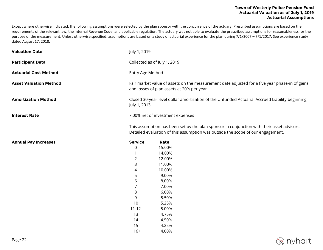Except where otherwise indicated, the following assumptions were selected by the plan sponsor with the concurrence of the actuary. Prescribed assumptions are based on the requirements of the relevant law, the Internal Revenue Code, and applicable regulation. The actuary was not able to evaluate the prescribed assumptions for reasonableness for the purpose of the measurement. Unless otherwise specified, assumptions are based on a study of actuarial experience for the plan during 7/1/2007 – 7/1/2017. See experience study dated August 17, 2018.

| <b>Valuation Date</b>         | July 1, 2019                                                                                                                                                                  |                                  |  |  |
|-------------------------------|-------------------------------------------------------------------------------------------------------------------------------------------------------------------------------|----------------------------------|--|--|
| <b>Participant Data</b>       | Collected as of July 1, 2019                                                                                                                                                  |                                  |  |  |
| <b>Actuarial Cost Method</b>  | Entry Age Method                                                                                                                                                              |                                  |  |  |
| <b>Asset Valuation Method</b> | Fair market value of assets on the measurement date adjusted for a five year phase-in of gains<br>and losses of plan assets at 20% per year                                   |                                  |  |  |
| <b>Amortization Method</b>    | Closed 30-year level dollar amortization of the Unfunded Actuarial Accrued Liability beginning<br>July 1, 2013.                                                               |                                  |  |  |
| <b>Interest Rate</b>          |                                                                                                                                                                               | 7.00% net of investment expenses |  |  |
|                               | This assumption has been set by the plan sponsor in conjunction with their asset advisors.<br>Detailed evaluation of this assumption was outside the scope of our engagement. |                                  |  |  |
| <b>Annual Pay Increases</b>   | <b>Service</b>                                                                                                                                                                | Rate                             |  |  |
|                               | $\pmb{0}$                                                                                                                                                                     | 15.00%                           |  |  |
|                               |                                                                                                                                                                               | 14.00%                           |  |  |
|                               | 2                                                                                                                                                                             | 12.00%                           |  |  |
|                               | 3                                                                                                                                                                             | 11.00%                           |  |  |
|                               | 4                                                                                                                                                                             | 10.00%                           |  |  |
|                               | 5                                                                                                                                                                             | 9.00%                            |  |  |
|                               | 6                                                                                                                                                                             | 8.00%                            |  |  |
|                               | 7                                                                                                                                                                             | 7.00%                            |  |  |
|                               | 8                                                                                                                                                                             | 6.00%                            |  |  |
|                               | 9                                                                                                                                                                             | 5.50%                            |  |  |
|                               | 10                                                                                                                                                                            | 5.25%                            |  |  |
|                               | $11 - 12$                                                                                                                                                                     | 5.00%                            |  |  |
|                               | 13                                                                                                                                                                            | 4.75%                            |  |  |
|                               | 14                                                                                                                                                                            | 4.50%                            |  |  |
|                               | 15                                                                                                                                                                            | 4.25%                            |  |  |
|                               | $16+$                                                                                                                                                                         | 4.00%                            |  |  |

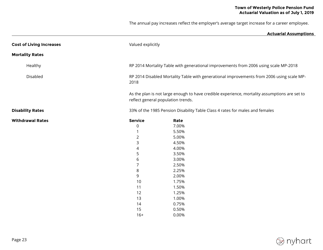The annual pay increases reflect the employer's average target increase for a career employee.

|                                 |                                                                                                                                    | <b>Actuarial Assumptions</b>                                                                                                                         |  |  |  |
|---------------------------------|------------------------------------------------------------------------------------------------------------------------------------|------------------------------------------------------------------------------------------------------------------------------------------------------|--|--|--|
| <b>Cost of Living Increases</b> | Valued explicitly                                                                                                                  |                                                                                                                                                      |  |  |  |
| <b>Mortality Rates</b>          |                                                                                                                                    |                                                                                                                                                      |  |  |  |
| Healthy                         |                                                                                                                                    | RP 2014 Mortality Table with generational improvements from 2006 using scale MP-2018                                                                 |  |  |  |
| Disabled                        | 2018                                                                                                                               | RP 2014 Disabled Mortality Table with generational improvements from 2006 using scale MP-                                                            |  |  |  |
|                                 |                                                                                                                                    | As the plan is not large enough to have credible experience, mortality assumptions are set to<br>reflect general population trends.                  |  |  |  |
| <b>Disability Rates</b>         |                                                                                                                                    | 33% of the 1985 Pension Disability Table Class 4 rates for males and females                                                                         |  |  |  |
| <b>Withdrawal Rates</b>         | <b>Service</b><br>0<br>1<br>$\overline{2}$<br>3<br>4<br>5<br>6<br>$\overline{7}$<br>$\,8$<br>9<br>10<br>11<br>12<br>13<br>14<br>15 | Rate<br>7.00%<br>5.50%<br>5.00%<br>4.50%<br>4.00%<br>3.50%<br>3.00%<br>2.50%<br>2.25%<br>2.00%<br>1.75%<br>1.50%<br>1.25%<br>1.00%<br>0.75%<br>0.50% |  |  |  |
|                                 | $16+$                                                                                                                              | 0.00%                                                                                                                                                |  |  |  |
|                                 |                                                                                                                                    |                                                                                                                                                      |  |  |  |

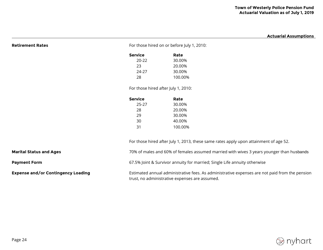#### **Town of Westerly Police Pension Fund Actuarial Valuation as of July 1, 2019**

**Actuarial Assumptions**

|                                           | <b>Service</b>                                                                                                                                   | Rate                                                                                  |  |  |
|-------------------------------------------|--------------------------------------------------------------------------------------------------------------------------------------------------|---------------------------------------------------------------------------------------|--|--|
|                                           | $20 - 22$                                                                                                                                        | 30.00%                                                                                |  |  |
|                                           | 23                                                                                                                                               | 20.00%                                                                                |  |  |
|                                           | 24-27                                                                                                                                            | 30.00%                                                                                |  |  |
|                                           | 28                                                                                                                                               | 100.00%                                                                               |  |  |
|                                           | For those hired after July 1, 2010:                                                                                                              |                                                                                       |  |  |
|                                           | <b>Service</b>                                                                                                                                   | Rate                                                                                  |  |  |
|                                           | $25 - 27$                                                                                                                                        | 30.00%                                                                                |  |  |
|                                           | 28                                                                                                                                               | 20.00%                                                                                |  |  |
|                                           | 29                                                                                                                                               | 30.00%                                                                                |  |  |
|                                           | 30                                                                                                                                               | 40.00%                                                                                |  |  |
|                                           | 31                                                                                                                                               | 100.00%                                                                               |  |  |
|                                           |                                                                                                                                                  | For those hired after July 1, 2013, these same rates apply upon attainment of age 52. |  |  |
| <b>Marital Status and Ages</b>            | 70% of males and 60% of females assumed married with wives 3 years younger than husbands                                                         |                                                                                       |  |  |
| <b>Payment Form</b>                       | 67.5% Joint & Survivor annuity for married; Single Life annuity otherwise                                                                        |                                                                                       |  |  |
| <b>Expense and/or Contingency Loading</b> | Estimated annual administrative fees. As administrative expenses are not paid from the pension<br>trust, no administrative expenses are assumed. |                                                                                       |  |  |

**Retirement Rates Retirement Rates For those hired on or before July 1, 2010:** 

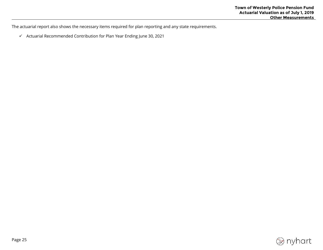The actuarial report also shows the necessary items required for plan reporting and any state requirements.

 $\checkmark$  Actuarial Recommended Contribution for Plan Year Ending June 30, 2021